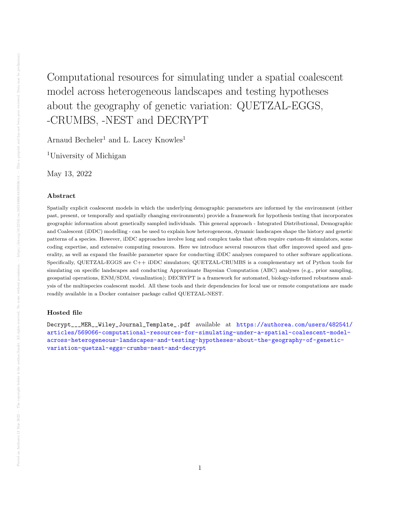## Computational resources for simulating under a spatial coalescent model across heterogeneous landscapes and testing hypotheses about the geography of genetic variation: QUETZAL-EGGS, -CRUMBS, -NEST and DECRYPT

Arnaud Becheler<sup>1</sup> and L. Lacey Knowles<sup>1</sup>

<sup>1</sup>University of Michigan

May 13, 2022

## Abstract

Spatially explicit coalescent models in which the underlying demographic parameters are informed by the environment (either past, present, or temporally and spatially changing environments) provide a framework for hypothesis testing that incorporates geographic information about genetically sampled individuals. This general approach - Integrated Distributional, Demographic and Coalescent (iDDC) modelling - can be used to explain how heterogeneous, dynamic landscapes shape the history and genetic patterns of a species. However, iDDC approaches involve long and complex tasks that often require custom-fit simulators, some coding expertise, and extensive computing resources. Here we introduce several resources that offer improved speed and generality, as well as expand the feasible parameter space for conducting iDDC analyses compared to other software applications. Specifically, QUETZAL-EGGS are C++ iDDC simulators; QUETZAL-CRUMBS is a complementary set of Python tools for simulating on specific landscapes and conducting Approximate Bayesian Computation (ABC) analyses (e.g., prior sampling, geospatial operations, ENM/SDM, visualization); DECRYPT is a framework for automated, biology-informed robustness analysis of the multispecies coalescent model. All these tools and their dependencies for local use or remote computations are made readily available in a Docker container package called QUETZAL-NEST.

## Hosted file

Decrypt\_\_\_MER\_\_Wiley\_Journal\_Template\_.pdf available at [https://authorea.com/users/482541/](https://authorea.com/users/482541/articles/569066-computational-resources-for-simulating-under-a-spatial-coalescent-model-across-heterogeneous-landscapes-and-testing-hypotheses-about-the-geography-of-genetic-variation-quetzal-eggs-crumbs-nest-and-decrypt) [articles/569066-computational-resources-for-simulating-under-a-spatial-coalescent-model](https://authorea.com/users/482541/articles/569066-computational-resources-for-simulating-under-a-spatial-coalescent-model-across-heterogeneous-landscapes-and-testing-hypotheses-about-the-geography-of-genetic-variation-quetzal-eggs-crumbs-nest-and-decrypt)[across-heterogeneous-landscapes-and-testing-hypotheses-about-the-geography-of-genetic](https://authorea.com/users/482541/articles/569066-computational-resources-for-simulating-under-a-spatial-coalescent-model-across-heterogeneous-landscapes-and-testing-hypotheses-about-the-geography-of-genetic-variation-quetzal-eggs-crumbs-nest-and-decrypt)[variation-quetzal-eggs-crumbs-nest-and-decrypt](https://authorea.com/users/482541/articles/569066-computational-resources-for-simulating-under-a-spatial-coalescent-model-across-heterogeneous-landscapes-and-testing-hypotheses-about-the-geography-of-genetic-variation-quetzal-eggs-crumbs-nest-and-decrypt)